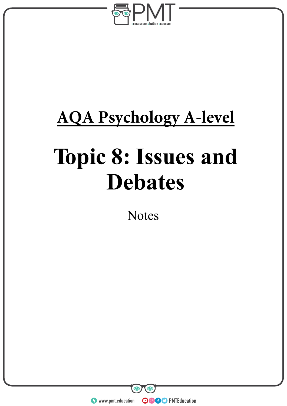

# **AQA Psychology A-level**

# **Topic 8: Issues and Debates**

**Notes** 

**WWW.pmt.education**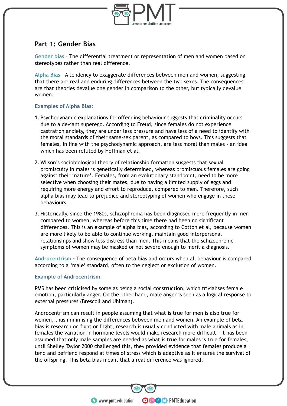

# **Part 1: Gender Bias**

**Gender bias** – The differential treatment or representation of men and women based on stereotypes rather than real difference.

**Alpha Bias** – A tendency to exaggerate differences between men and women, suggesting that there are real and enduring differences between the two sexes. The consequences are that theories devalue one gender in comparison to the other, but typically devalue women.

#### **Examples of Alpha Bias:**

- 1. Psychodynamic explanations for offending behaviour suggests that criminality occurs due to a deviant superego. According to Freud, since females do not experience castration anxiety, they are under less pressure and have less of a need to identify with the moral standards of their same-sex parent, as compared to boys. This suggests that females, in line with the psychodynamic approach, are less moral than males - an idea which has been refuted by Hoffman et al.
- 2. Wilson's sociobiological theory of relationship formation suggests that sexual promiscuity in males is genetically determined, whereas promiscuous females are going against their 'nature'. Females, from an evolutionary standpoint, need to be more selective when choosing their mates, due to having a limited supply of eggs and requiring more energy and effort to reproduce, compared to men. Therefore, such alpha bias may lead to prejudice and stereotyping of women who engage in these behaviours.
- 3. Historically, since the 1980s, schizophrenia has been diagnosed more frequently in men compared to women, whereas before this time there had been no significant differences. This is an example of alpha bias, according to Cotton et al, because women are more likely to be able to continue working, maintain good interpersonal relationships and show less distress than men. This means that the schizophrenic symptoms of women may be masked or not severe enough to merit a diagnosis.

**Androcentrism –** The consequence of beta bias and occurs when all behaviour is compared according to a 'male' standard, often to the neglect or exclusion of women.

#### **Example of Androcentrism**:

PMS has been criticised by some as being a social construction, which trivialises female emotion, particularly anger. On the other hand, male anger is seen as a logical response to external pressures (Brescoll and Uhlman).

Androcentrism can result in people assuming that what is true for men is also true for women, thus minimising the differences between men and women. An example of beta bias is research on fight or flight, research is usually conducted with male animals as in females the variation in hormone levels would make research more difficult – it has been assumed that only male samples are needed as what is true for males is true for females, until Shelley Taylor 2000 challenged this, they provided evidence that females produce a tend and befriend respond at times of stress which is adaptive as it ensures the survival of the offspring. This beta bias meant that a real difference was ignored.

**OOOO** PMTEducation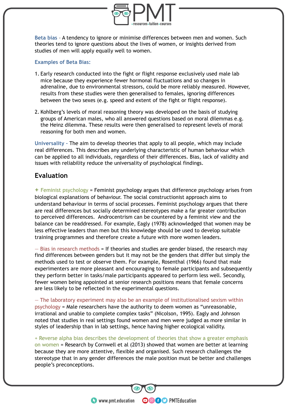

**Beta bias** – A tendency to ignore or minimise differences between men and women. Such theories tend to ignore questions about the lives of women, or insights derived from studies of men will apply equally well to women.

#### **Examples of Beta Bias:**

- 1. Early research conducted into the fight or flight response exclusively used male lab mice because they experience fewer hormonal fluctuations and so changes in adrenaline, due to environmental stressors, could be more reliably measured. However, results from these studies were then generalised to females, ignoring differences between the two sexes (e.g. speed and extent of the fight or flight response).
- 2. Kohlberg's levels of moral reasoning theory was developed on the basis of studying groups of American males, who all answered questions based on moral dilemmas e.g. the Heinz dilemma. These results were then generalised to represent levels of moral reasoning for both men and women.

**Universality –** The aim to develop theories that apply to all people, which may include real differences. This describes any underlying characteristic of human behaviour which can be applied to all individuals, regardless of their differences. Bias, lack of validity and issues with reliability reduce the universality of psychological findings.

#### **Evaluation**

**+** Feminist psychology = Feminist psychology argues that difference psychology arises from biological explanations of behaviour. The social constructionist approach aims to understand behaviour in terms of social processes. Feminist psychology argues that there are real differences but socially determined stereotypes make a far greater contribution to perceived differences. Androcentrism can be countered by a feminist view and the balance can be readdressed. For example, Eagly (1978) acknowledged that women may be less effective leaders than men but this knowledge should be used to develop suitable training programmes and therefore create a future with more women leaders.

 $-$  Bias in research methods = If theories and studies are gender biased, the research may find differences between genders but it may not be the genders that differ but simply the methods used to test or observe them. For example, Rosenthal (1966) found that male experimenters are more pleasant and encouraging to female participants and subsequently they perform better in tasks/male participants appeared to perform less well. Secondly, fewer women being appointed at senior research positions means that female concerns are less likely to be reflected in the experimental questions.

— The laboratory experiment may also be an example of institutionalised sexism within psychology = Male researchers have the authority to deem women as "unreasonable, irrational and unable to complete complex tasks" (Nicolson, 1995). Eagly and Johnson noted that studies in real settings found women and men were judged as more similar in styles of leadership than in lab settings, hence having higher ecological validity.

+ Reverse alpha bias describes the development of theories that show a greater emphasis on women = Research by Cornwell et al (2013) showed that women are better at learning because they are more attentive, flexible and organised. Such research challenges the stereotype that in any gender differences the male position must be better and challenges people's preconceptions.

**OOOO** PMTEducation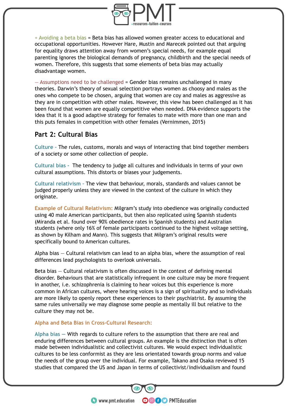

+ Avoiding a beta bias = Beta bias has allowed women greater access to educational and occupational opportunities. However Hare, Mustin and Marecek pointed out that arguing for equality draws attention away from women's special needs, for example equal parenting ignores the biological demands of pregnancy, childbirth and the special needs of women. Therefore, this suggests that some elements of beta bias may actually disadvantage women.

 $-$  Assumptions need to be challenged  $=$  Gender bias remains unchallenged in many theories. Darwin's theory of sexual selection portrays women as choosy and males as the ones who compete to be chosen, arguing that women are coy and males as aggressive as they are in competition with other males. However, this view has been challenged as it has been found that women are equally competitive when needed. DNA evidence supports the idea that it is a good adaptive strategy for females to mate with more than one man and this puts females in competition with other females (Vernimmen, 2015)

# **Part 2: Cultural Bias**

**Culture –** The rules, customs, morals and ways of interacting that bind together members of a society or some other collection of people.

**Cultural bias -** The tendency to judge all cultures and individuals in terms of your own cultural assumptions. This distorts or biases your judgements.

**Cultural relativism –** The view that behaviour, morals, standards and values cannot be judged properly unless they are viewed in the context of the culture in which they originate.

**Example of Cultural Relativism:** Milgram's study into obedience was originally conducted using 40 male American participants, but then also replicated using Spanish students (Miranda et al. found over 90% obedience rates in Spanish students) and Australian students (where only 16% of female participants continued to the highest voltage setting, as shown by Kilham and Mann). This suggests that Milgram's original results were specifically bound to American cultures.

Alpha bias — Cultural relativism can lead to an alpha bias, where the assumption of real differences lead psychologists to overlook universals.

Beta bias — Cultural relativism is often discussed in the context of defining mental disorder. Behaviours that are statistically infrequent in one culture may be more frequent in another, i.e. schizophrenia is claiming to hear voices but this experience is more common in African cultures, where hearing voices is a sign of spirituality and so individuals are more likely to openly report these experiences to their psychiatrist. By assuming the same rules universally we may diagnose some people as mentally ill but relative to the culture they may not be.

#### **Alpha and Beta Bias in Cross-Cultural Research:**

**Alpha bias —** With regards to culture refers to the assumption that there are real and enduring differences between cultural groups. An example is the distinction that is often made between individualistic and collectivist cultures. We would expect individualistic cultures to be less conformist as they are less orientated towards group norms and value the needs of the group over the individual. For example, Takano and Osaka reviewed 15 studies that compared the US and Japan in terms of collectivist/individualism and found

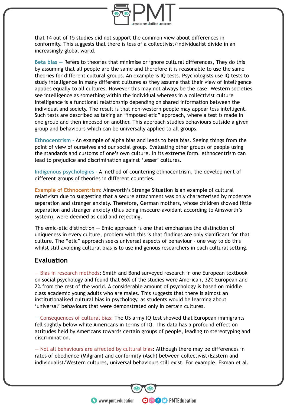

that 14 out of 15 studies did not support the common view about differences in conformity. This suggests that there is less of a collectivist/individualist divide in an increasingly global world.

**Beta bias —** Refers to theories that minimise or ignore cultural differences, They do this by assuming that all people are the same and therefore it is reasonable to use the same theories for different cultural groups. An example is IQ tests. Psychologists use IQ tests to study intelligence in many different cultures as they assume that their view of intelligence applies equally to all cultures. However this may not always be the case. Western societies see intelligence as something within the individual whereas in a collectivist culture intelligence is a functional relationship depending on shared information between the individual and society. The result is that non-western people may appear less intelligent. Such tests are described as taking an "imposed etic" approach, where a test is made in one group and then imposed on another. This approach studies behaviours outside a given group and behaviours which can be universally applied to all groups.

**Ethnocentrism –** An example of alpha bias and leads to beta bias. Seeing things from the point of view of ourselves and our social group. Evaluating other groups of people using the standards and customs of one's own culture. In its extreme form, ethnocentrism can lead to prejudice and discrimination against 'lesser' cultures.

**Indigenous psychologies -** A method of countering ethnocentrism, the development of different groups of theories in different countries.

**Example of Ethnocentrism**: Ainsworth's Strange Situation is an example of cultural relativism due to suggesting that a secure attachment was only characterised by moderate separation and stranger anxiety. Therefore, German mothers, whose children showed little separation and stranger anxiety (thus being insecure-avoidant according to Ainsworth's system), were deemed as cold and rejecting.

The emic-etic distinction  $-$  Emic approach is one that emphasises the distinction of uniqueness in every culture, problem with this is that findings are only significant for that culture. The "etic" approach seeks universal aspects of behaviour - one way to do this whilst still avoiding cultural bias is to use indigenous researchers in each cultural setting.

#### **Evaluation**

— Bias in research methods: Smith and Bond surveyed research in one European textbook on social psychology and found that 66% of the studies were American, 32% European and 2% from the rest of the world. A considerable amount of psychology is based on middle class academic young adults who are males. This suggests that there is almost an institutionalised cultural bias in psychology, as students would be learning about 'universal' behaviours that were demonstrated only in certain cultures.

— Consequences of cultural bias: The US army IQ test showed that European immigrants fell slightly below white Americans in terms of IQ. This data has a profound effect on attitudes held by Americans towards certain groups of people, leading to stereotyping and discrimination.

— Not all behaviours are affected by cultural bias: Although there may be differences in rates of obedience (Milgram) and conformity (Asch) between collectivist/Eastern and individualist/Western cultures, universal behaviours still exist. For example, Ekman et al.

**OOOO** PMTEducation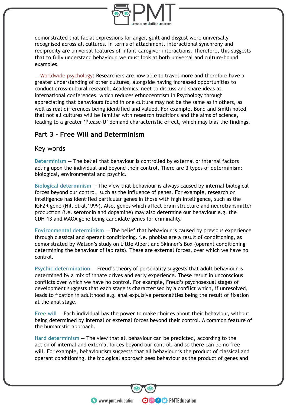

demonstrated that facial expressions for anger, guilt and disgust were universally recognised across all cultures. In terms of attachment, interactional synchrony and reciprocity are universal features of infant-caregiver interactions. Therefore, this suggests that to fully understand behaviour, we must look at both universal and culture-bound examples.

— Worldwide psychology: Researchers are now able to travel more and therefore have a greater understanding of other cultures, alongside having increased opportunities to conduct cross-cultural research. Academics meet to discuss and share ideas at international conferences, which reduces ethnocentrism in Psychology through appreciating that behaviours found in one culture may not be the same as in others, as well as real differences being identified and valued. For example, Bond and Smith noted that not all cultures will be familiar with research traditions and the aims of science, leading to a greater 'Please-U' demand characteristic effect, which may bias the findings.

# **Part 3 - Free Will and Determinism**

#### Key words

**Determinism** — The belief that behaviour is controlled by external or internal factors acting upon the individual and beyond their control. There are 3 types of determinism: biological, environmental and psychic.

**Biological determinism** — The view that behaviour is always caused by internal biological forces beyond our control, such as the influence of genes. For example, research on intelligence has identified particular genes in those with high intelligence, such as the IGF2R gene (Hill et al,1999). Also, genes which affect brain structure and neurotransmitter production (i.e. serotonin and dopamine) may also determine our behaviour e.g. the CDH-13 and MAOA gene being candidate genes for criminality.

**Environmental determinism** — The belief that behaviour is caused by previous experience through classical and operant conditioning. i.e. phobias are a result of conditioning, as demonstrated by Watson's study on Little Albert and Skinner's Box (operant conditioning determining the behaviour of lab rats). These are external forces, over which we have no control.

**Psychic determination** — Freud's theory of personality suggests that adult behaviour is determined by a mix of innate drives and early experience. These result in unconscious conflicts over which we have no control. For example, Freud's psychosexual stages of development suggests that each stage is characterised by a conflict which, if unresolved, leads to fixation in adulthood e.g. anal expulsive personalities being the result of fixation at the anal stage.

**Free will** — Each individual has the power to make choices about their behaviour, without being determined by internal or external forces beyond their control. A common feature of the humanistic approach.

**Hard determinism** — The view that all behaviour can be predicted, according to the action of internal and external forces beyond our control, and so there can be no free will. For example, behaviourism suggests that all behaviour is the product of classical and operant conditioning, the biological approach sees behaviour as the product of genes and

**OOOO** PMTEducation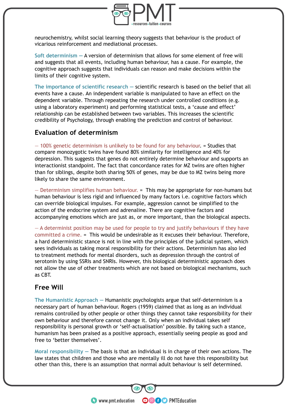

neurochemistry, whilst social learning theory suggests that behaviour is the product of vicarious reinforcement and mediational processes.

**Soft determinism —** A version of determinism that allows for some element of free will and suggests that all events, including human behaviour, has a cause. For example, the cognitive approach suggests that individuals can reason and make decisions within the limits of their cognitive system.

**The importance of scientific research —** scientific research is based on the belief that all events have a cause. An independent variable is manipulated to have an effect on the dependent variable. Through repeating the research under controlled conditions (e.g. using a laboratory experiment) and performing statistical tests, a 'cause and effect' relationship can be established between two variables. This increases the scientific credibility of Psychology, through enabling the prediction and control of behaviour.

#### **Evaluation of determinism**

— 100% genetic determinism is unlikely to be found for any behaviour. = Studies that compare monozygotic twins have found 80% similarity for intelligence and 40% for depression. This suggests that genes do not entirely determine behaviour and supports an interactionist standpoint. The fact that concordance rates for MZ twins are often higher than for siblings, despite both sharing 50% of genes, may be due to MZ twins being more likely to share the same environment.

— Determinism simplifies human behaviour. = This may be appropriate for non-humans but human behaviour is less rigid and influenced by many factors i.e. cognitive factors which can override biological impulses. For example, aggression cannot be simplified to the action of the endocrine system and adrenaline. There are cognitive factors and accompanying emotions which are just as, or more important, than the biological aspects.

— A determinist position may be used for people to try and justify behaviours if they have committed a crime. = This would be undesirable as it excuses their behaviour. Therefore, a hard deterministic stance is not in line with the principles of the judicial system, which sees individuals as taking moral responsibility for their actions. Determinism has also led to treatment methods for mental disorders, such as depression through the control of serotonin by using SSRIs and SNRIs. However, this biological deterministic approach does not allow the use of other treatments which are not based on biological mechanisms, such as CBT.

# **Free Will**

**The Humanistic Approach —** Humanistic psychologists argue that self-determinism is a necessary part of human behaviour. Rogers (1959) claimed that as long as an individual remains controlled by other people or other things they cannot take responsibility for their own behaviour and therefore cannot change it. Only when an individual takes self responsibility is personal growth or 'self-actualisation' possible. By taking such a stance, humanism has been praised as a positive approach, essentially seeing people as good and free to 'better themselves'.

**Moral responsibility —** The basis is that an individual is in charge of their own actions. The law states that children and those who are mentally ill do not have this responsibility but other than this, there is an assumption that normal adult behaviour is self determined.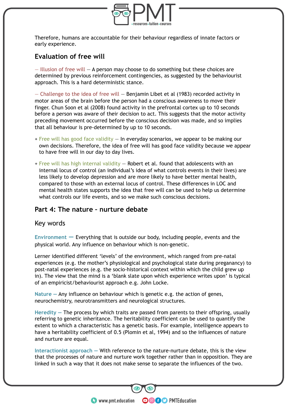

Therefore, humans are accountable for their behaviour regardless of innate factors or early experience.

# **Evaluation of free will**

 $-$  Illusion of free will  $-$  A person may choose to do something but these choices are determined by previous reinforcement contingencies, as suggested by the behaviourist approach. This is a hard deterministic stance.

— Challenge to the idea of free will — Benjamin Libet et al (1983) recorded activity in motor areas of the brain before the person had a conscious awareness to move their finger. Chun Soon et al (2008) found activity in the prefrontal cortex up to 10 seconds before a person was aware of their decision to act. This suggests that the motor activity preceding movement occurred before the conscious decision was made, and so implies that all behaviour is pre-determined by up to 10 seconds.

- $+$  Free will has good face validity  $-$  In everyday scenarios, we appear to be making our own decisions. Therefore, the idea of free will has good face validity because we appear to have free will in our day to day lives.
- $+$  Free will has high internal validity  $-$  Robert et al. found that adolescents with an internal locus of control (an individual's idea of what controls events in their lives) are less likely to develop depression and are more likely to have better mental health, compared to those with an external locus of control. These differences in LOC and mental health states supports the idea that free will can be used to help us determine what controls our life events, and so we make such conscious decisions.

# **Part 4: The nature – nurture debate**

#### Key words

**Environment —** Everything that is outside our body, including people, events and the physical world. Any influence on behaviour which is non-genetic.

Lerner identified different 'levels' of the environment, which ranged from pre-natal experiences (e.g. the mother's physiological and psychological state during preganancy) to post-natal experiences (e.g. the socio-historical context within which the child grew up in). The view that the mind is a 'blank slate upon which experience writes upon' is typical of an empiricist/behaviourist approach e.g. John Locke.

**Nature —** Any influence on behaviour which is genetic e.g. the action of genes, neurochemistry, neurotransmitters and neurological structures.

**Heredity —** The process by which traits are passed from parents to their offspring, usually referring to genetic inheritance. The heritability coefficient can be used to quantify the extent to which a characteristic has a genetic basis. For example, intelligence appears to have a heritability coefficient of 0.5 (Plomin et al, 1994) and so the influences of nature and nurture are equal.

**Interactionist approach —** With reference to the nature-nurture debate, this is the view that the processes of nature and nurture work together rather than in opposition. They are linked in such a way that it does not make sense to separate the influences of the two.

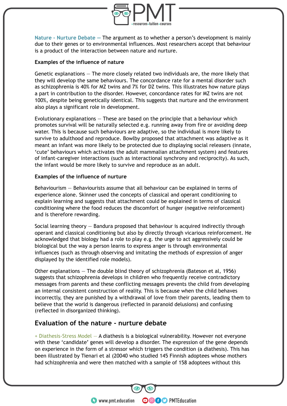

**Nature - Nurture Debate —** The argument as to whether a person's development is mainly due to their genes or to environmental influences. Most researchers accept that behaviour is a product of the interaction between nature and nurture.

#### **Examples of the influence of nature**

Genetic explanations — The more closely related two individuals are, the more likely that they will develop the same behaviours. The concordance rate for a mental disorder such as schizophrenia is 40% for MZ twins and 7% for DZ twins. This illustrates how nature plays a part in contribution to the disorder. However, concordance rates for MZ twins are not 100%, despite being genetically identical. This suggests that nurture and the environment also plays a significant role in development.

Evolutionary explanations — These are based on the principle that a behaviour which promotes survival will be naturally selected e.g. running away from fire or avoiding deep water. This is because such behaviours are adaptive, so the individual is more likely to survive to adulthood and reproduce. Bowlby proposed that attachment was adaptive as it meant an infant was more likely to be protected due to displaying social releasers (innate, 'cute' behaviours which activates the adult mammalian attachment system) and features of infant-caregiver interactions (such as interactional synchrony and reciprocity). As such, the infant would be more likely to survive and reproduce as an adult.

#### **Examples of the influence of nurture**

Behaviourism — Behaviourists assume that all behaviour can be explained in terms of experience alone. Skinner used the concepts of classical and operant conditioning to explain learning and suggests that attachment could be explained in terms of classical conditioning where the food reduces the discomfort of hunger (negative reinforcement) and is therefore rewarding.

Social learning theory — Bandura proposed that behaviour is acquired indirectly through operant and classical conditioning but also by directly through vicarious reinforcement. He acknowledged that biology had a role to play e.g. the urge to act aggressively could be biological but the way a person learns to express anger is through environmental influences (such as through observing and imitating the methods of expression of anger displayed by the identified role models).

Other explanations — The double blind theory of schizophrenia (Bateson et al, 1956) suggests that schizophrenia develops in children who frequently receive contradictory messages from parents and these conflicting messages prevents the child from developing an internal consistent construction of reality. This is because when the child behaves incorrectly, they are punished by a withdrawal of love from their parents, leading them to believe that the world is dangerous (reflected in paranoid delusions) and confusing (reflected in disorganized thinking).

#### **Evaluation of the nature - nurture debate**

+ Diathesis-Stress Model — A diathesis is a biological vulnerability. However not everyone with these 'candidate' genes will develop a disorder. The expression of the gene depends on experience in the form of a stressor which triggers the condition (a diathesis). This has been illustrated by Tienari et al (20040 who studied 145 Finnish adoptees whose mothers had schizophrenia and were then matched with a sample of 158 adoptees without this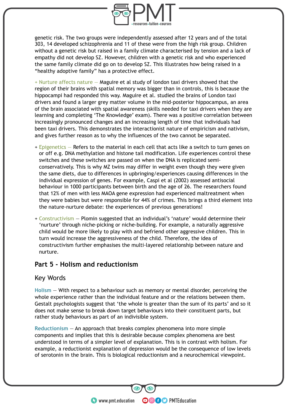

genetic risk. The two groups were independently assessed after 12 years and of the total 303, 14 developed schizophrenia and 11 of these were from the high risk group. Children without a genetic risk but raised in a family climate characterised by tension and a lack of empathy did not develop SZ. However, children with a genetic risk and who experienced the same family climate did go on to develop SZ. This illustrates how being raised in a "healthy adoptive family" has a protective effect.

 $+$  Nurture affects nature  $-$  Maguire et al study of london taxi drivers showed that the region of their brains with spatial memory was bigger than in controls, this is because the hippocampi had responded this way. Maguire et al. studied the brains of London taxi drivers and found a larger grey matter volume in the mid-posterior hippocampus, an area of the brain associated with spatial awareness (skills needed for taxi drivers when they are learning and completing 'The Knowledge' exam). There was a positive correlation between increasingly pronounced changes and an increasing length of time that individuals had been taxi drivers. This demonstrates the interactionist nature of empiricism and nativism, and gives further reason as to why the influences of the two cannot be separated.

- + Epigenetics Refers to the material in each cell that acts like a switch to turn genes on or off e.g. DNA methylation and histone tail modification. Life experiences control these switches and these switches are passed on when the DNA is replicated semiconservatively. This is why MZ twins may differ in weight even though they were given the same diets, due to differences in upbringing/experiences causing differences in the individual expression of genes. For example, Caspi et al (2002) assessed antisocial behaviour in 1000 participants between birth and the age of 26. The researchers found that 12% of men with less MAOA gene expression had experienced maltreatment when they were babies but were responsible for 44% of crimes. This brings a third element into the nature-nurture debate: the experiences of previous generations!
- + Constructivism Plomin suggested that an individual's 'nature' would determine their 'nurture' through niche-picking or niche-building. For example, a naturally aggressive child would be more likely to play with and befriend other aggressive children. This in turn would increase the aggressiveness of the child. Therefore, the idea of constructivism further emphasises the multi-layered relationship between nature and nurture.

#### **Part 5 - Holism and reductionism**

#### Key Words

**Holism** — With respect to a behaviour such as memory or mental disorder, perceiving the whole experience rather than the individual feature and or the relations between them. Gestalt psychologists suggest that 'the whole is greater than the sum of its parts' and so it does not make sense to break down target behaviours into their constituent parts, but rather study behaviours as part of an indivisible system.

**Reductionism** — An approach that breaks complex phenomena into more simple components and implies that this is desirable because complex phenomena are best understood in terms of a simpler level of explanation. This is in contrast with holism. For example, a reductionist explanation of depression would be the consequence of low levels of serotonin in the brain. This is biological reductionism and a neurochemical viewpoint.

**OOOO** PMTEducation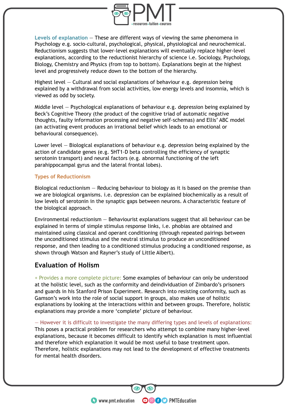

**Levels of explanation** — These are different ways of viewing the same phenomena in Psychology e.g. socio-cultural, psychological, physical, physiological and neurochemical. Reductionism suggests that lower-level explanations will eventually replace higher-level explanations, according to the reductionist hierarchy of science i.e. Sociology, Psychology, Biology, Chemistry and Physics (from top to bottom). Explanations begin at the highest level and progressively reduce down to the bottom of the hierarchy.

Highest level — Cultural and social explanations of behaviour e.g. depression being explained by a withdrawal from social activities, low energy levels and insomnia, which is viewed as odd by society.

Middle level  $-$  Psychological explanations of behaviour e.g. depression being explained by Beck's Cognitive Theory (the product of the cognitive triad of automatic negative thoughts, faulty information processing and negative self-schemas) and Ellis' ABC model (an activating event produces an irrational belief which leads to an emotional or behavioural consequence).

Lower level — Biological explanations of behaviour e.g. depression being explained by the action of candidate genes (e.g. 5HT1-D beta controlling the efficiency of synaptic serotonin transport) and neural factors (e.g. abnormal functioning of the left parahippocampal gyrus and the lateral frontal lobes).

#### **Types of Reductionism**

Biological reductionism — Reducing behaviour to biology as it is based on the premise than we are biological organisms. i.e. depression can be explained biochemically as a result of low levels of serotonin in the synaptic gaps between neurons. A characteristic feature of the biological approach.

Environmental reductionism — Behaviourist explanations suggest that all behaviour can be explained in terms of simple stimulus response links, i.e. phobias are obtained and maintained using classical and operant conditioning (through repeated pairings between the unconditioned stimulus and the neutral stimulus to produce an unconditioned response, and then leading to a conditioned stimulus producing a conditioned response, as shown through Watson and Rayner's study of Little Albert).

# **Evaluation of Holism**

+ Provides a more complete picture: Some examples of behaviour can only be understood at the holistic level, such as the conformity and deindividuation of Zimbardo's prisoners and guards in his Stanford Prison Experiment. Research into resisting conformity, such as Gamson's work into the role of social support in groups, also makes use of holistic explanations by looking at the interactions within and between groups. Therefore, holistic explanations may provide a more 'complete' picture of behaviour.

— However it is difficult to investigate the many differing types and levels of explanations: This poses a practical problem for researchers who attempt to combine many higher-level explanations, because it becomes difficult to identify which explanation is most influential and therefore which explanation it would be most useful to base treatment upon. Therefore, holistic explanations may not lead to the development of effective treatments for mental health disorders.

**OOOO** PMTEducation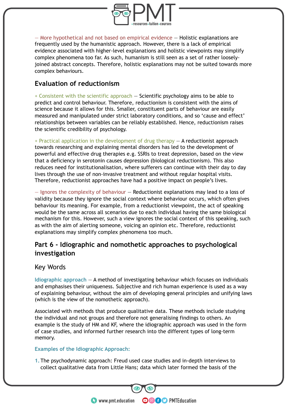

— More hypothetical and not based on empirical evidence — Holistic explanations are frequently used by the humanistic approach. However, there is a lack of empirical evidence associated with higher-level explanations and holistic viewpoints may simplify complex phenomena too far. As such, humanism is still seen as a set of rather looselyjoined abstract concepts. Therefore, holistic explanations may not be suited towards more complex behaviours.

# **Evaluation of reductionism**

+ Consistent with the scientific approach — Scientific psychology aims to be able to predict and control behaviour. Therefore, reductionism is consistent with the aims of science because it allows for this. Smaller, constituent parts of behaviour are easily measured and manipulated under strict laboratory conditions, and so 'cause and effect' relationships between variables can be reliably established. Hence, reductionism raises the scientific credibility of psychology.

+ Practical application in the development of drug therapy — A reductionist approach towards researching and explaining mental disorders has led to the development of powerful and effective drug therapies e.g. SSRIs to treat depression, based on the view that a deficiency in serotonin causes depression (biological reductionism). This also reduces need for institutionalisation, where sufferers can continue with their day to day lives through the use of non-invasive treatment and without regular hospital visits. Therefore, reductionist approaches have had a positive impact on people's lives.

— Ignores the complexity of behaviour — Reductionist explanations may lead to a loss of validity because they ignore the social context where behaviour occurs, which often gives behaviour its meaning. For example, from a reductionist viewpoint, the act of speaking would be the same across all scenarios due to each individual having the same biological mechanism for this. However, such a view ignores the social context of this speaking, such as with the aim of alerting someone, voicing an opinion etc. Therefore, reductionist explanations may simplify complex phenomena too much.

# **Part 6 - Idiographic and nomothetic approaches to psychological investigation**

# Key Words

**Idiographic approach** — A method of investigating behaviour which focuses on individuals and emphasises their uniqueness. Subjective and rich human experience is used as a way of explaining behaviour, without the aim of developing general principles and unifying laws (which is the view of the nomothetic approach).

Associated with methods that produce qualitative data. These methods include studying the individual and not groups and therefore not generalising findings to others. An example is the study of HM and KF, where the idiographic approach was used in the form of case studies, and informed further research into the different types of long-term memory.

#### **Examples of the Idiographic Approach:**

**1.**The psychodynamic approach: Freud used case studies and in-depth interviews to collect qualitative data from Little Hans; data which later formed the basis of the

**OOOO** PMTEducation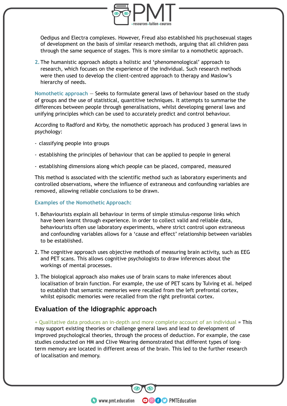

Oedipus and Electra complexes. However, Freud also established his psychosexual stages of development on the basis of similar research methods, arguing that all children pass through the same sequence of stages. This is more similar to a nomothetic approach.

**2.**The humanistic approach adopts a holistic and 'phenomenological' approach to research, which focuses on the experience of the individual. Such research methods were then used to develop the client-centred approach to therapy and Maslow's hierarchy of needs.

**Nomothetic approach** — Seeks to formulate general laws of behaviour based on the study of groups and the use of statistical, quantitive techniques. It attempts to summarise the differences between people through generalisations, whilst developing general laws and unifying principles which can be used to accurately predict and control behaviour.

According to Radford and Kirby, the nomothetic approach has produced 3 general laws in psychology:

- classifying people into groups
- establishing the principles of behaviour that can be applied to people in general
- establishing dimensions along which people can be placed, compared, measured

This method is associated with the scientific method such as laboratory experiments and controlled observations, where the influence of extraneous and confounding variables are removed, allowing reliable conclusions to be drawn.

#### **Examples of the Nomothetic Approach:**

- 1. Behaviourists explain all behaviour in terms of simple stimulus-response links which have been learnt through experience. In order to collect valid and reliable data, behaviourists often use laboratory experiments, where strict control upon extraneous and confounding variables allows for a 'cause and effect' relationship between variables to be established.
- 2. The cognitive approach uses objective methods of measuring brain activity, such as EEG and PET scans. This allows cognitive psychologists to draw inferences about the workings of mental processes.
- 3. The biological approach also makes use of brain scans to make inferences about localisation of brain function. For example, the use of PET scans by Tulving et al. helped to establish that semantic memories were recalled from the left prefrontal cortex, whilst episodic memories were recalled from the right prefrontal cortex.

# **Evaluation of the Idiographic approach**

+ Qualitative data produces an in-depth and more complete account of an individual = This may support existing theories or challenge general laws and lead to development of improved psychological theories, through the process of deduction. For example, the case studies conducted on HM and Clive Wearing demonstrated that different types of longterm memory are located in different areas of the brain. This led to the further research of localisation and memory.

**OOOO** PMTEducation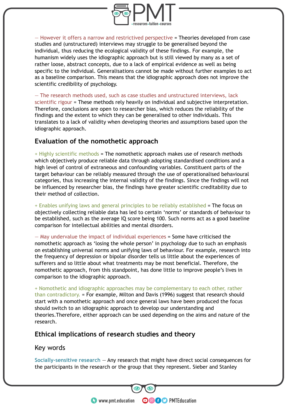

— However it offers a narrow and restrictived perspective = Theories developed from case studies and (unstructured) interviews may struggle to be generalised beyond the individual, thus reducing the ecological validity of these findings. For example, the humanism widely uses the idiographic approach but is still viewed by many as a set of rather loose, abstract concepts, due to a lack of empirical evidence as well as being specific to the individual. Generalisations cannot be made without further examples to act as a baseline comparison. This means that the idiographic approach does not improve the scientific credibility of psychology.

— The research methods used, such as case studies and unstructured interviews, lack scientific rigour = These methods rely heavily on individual and subjective interpretation. Therefore, conclusions are open to researcher bias, which reduces the reliability of the findings and the extent to which they can be generalised to other individuals. This translates to a lack of validity when developing theories and assumptions based upon the idiographic approach.

# **Evaluation of the nomothetic approach**

 $+$  Highly scientific methods = The nomothetic approach makes use of research methods which objectively produce reliable data through adopting standardised conditions and a high level of control of extraneous and confounding variables. Constituent parts of the target behaviour can be reliably measured through the use of operationalised behavioural categories, thus increasing the internal validity of the findings. Since the findings will not be influenced by researcher bias, the findings have greater scientific creditability due to their method of collection.

+ Enables unifying laws and general principles to be reliably established = The focus on objectively collecting reliable data has led to certain 'norms' or standards of behaviour to be established, such as the average IQ score being 100. Such norms act as a good baseline comparison for intellectual abilities and mental disorders.

— May undervalue the impact of individual experiences = Some have criticised the nomothetic approach as 'losing the whole person' in psychology due to such an emphasis on establishing universal norms and unifying laws of behaviour. For example, research into the frequency of depression or bipolar disorder tells us little about the experiences of sufferers and so little about what treatments may be most beneficial. Therefore, the nomothetic approach, from this standpoint, has done little to improve people's lives in comparison to the idiographic approach.

+ Nomothetic and idiographic approaches may be complementary to each other, rather than contradictory. = For example, Milton and Davis (1996) suggest that research should start with a nomothetic approach and once general laws have been produced the focus should switch to an idiographic approach to develop our understanding and theories.Therefore, either approach can be used depending on the aims and nature of the research.

# **Ethical implications of research studies and theory**

# Key words

**Socially-sensitive research** — Any research that might have direct social consequences for the participants in the research or the group that they represent. Sieber and Stanley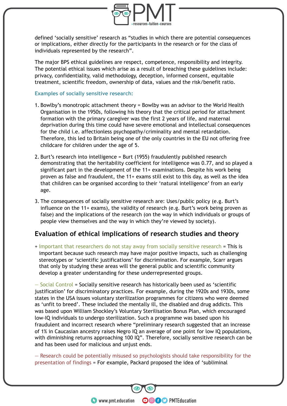

defined 'socially sensitive' research as "studies in which there are potential consequences or implications, either directly for the participants in the research or for the class of individuals represented by the research".

The major BPS ethical guidelines are respect, competence, responsibility and integrity. The potential ethical issues which arise as a result of breaching these guidelines include: privacy, confidentiality, valid methodology, deception, informed consent, equitable treatment, scientific freedom, ownership of data, values and the risk/benefit ratio.

#### **Examples of socially sensitive research:**

- 1. Bowlby's monotropic attachment theory = Bowlby was an advisor to the World Health Organisation in the 1950s, following his theory that the critical period for attachment formation with the primary caregiver was the first 2 years of life, and maternal deprivation during this time could have severe emotional and intellectual consequences for the child i.e. affectionless psychopathy/criminality and mental retardation. Therefore, this led to Britain being one of the only countries in the EU not offering free childcare for children under the age of 5.
- 2. Burt's research into intelligence = Burt (1955) fraudulently published research demonstrating that the heritability coefficient for intelligence was 0.77, and so played a significant part in the development of the 11+ examinations. Despite his work being proven as false and fraudulent, the 11+ exams still exist to this day, as well as the idea that children can be organised according to their 'natural intelligence' from an early age.
- 3. The consequences of socially sensitive research are: Uses/public policy (e.g. Burt's influence on the 11+ exams), the validity of research (e.g. Burt's work being proven as false) and the implications of the research (on the way in which individuals or groups of people view themselves and the way in which they're viewed by society).

#### **Evaluation of ethical implications of research studies and theory**

+ Important that researchers do not stay away from socially sensitive research = This is important because such research may have major positive impacts, such as challenging stereotypes or 'scientific justifications' for discrimination. For example, Scarr argues that only by studying these areas will the general public and scientific community develop a greater understanding for these underrepresented groups.

— Social Control = Socially sensitive research has historically been used as 'scientific justification' for discriminatory practices. For example, during the 1920s and 1930s, some states in the USA issues voluntary sterilization programmes for citizens who were deemed as 'unfit to breed'. These included the mentally ill, the disabled and drug addicts. This was based upon William Shockley's Voluntary Sterilisation Bonus Plan, which encouraged low-IQ individuals to undergo sterilization. Such a programme was based upon his fraudulent and incorrect research where "preliminary research suggested that an increase of 1% in Caucasian ancestry raises Negro IQ an average of one point for low IQ populations, with diminishing returns approaching 100 IQ". Therefore, socially sensitive research can be and has been used for malicious and unjust ends.

— Research could be potentially misused so psychologists should take responsibility for the presentation of findings = For example, Packard proposed the idea of 'subliminal

**OOOO** PMTEducation